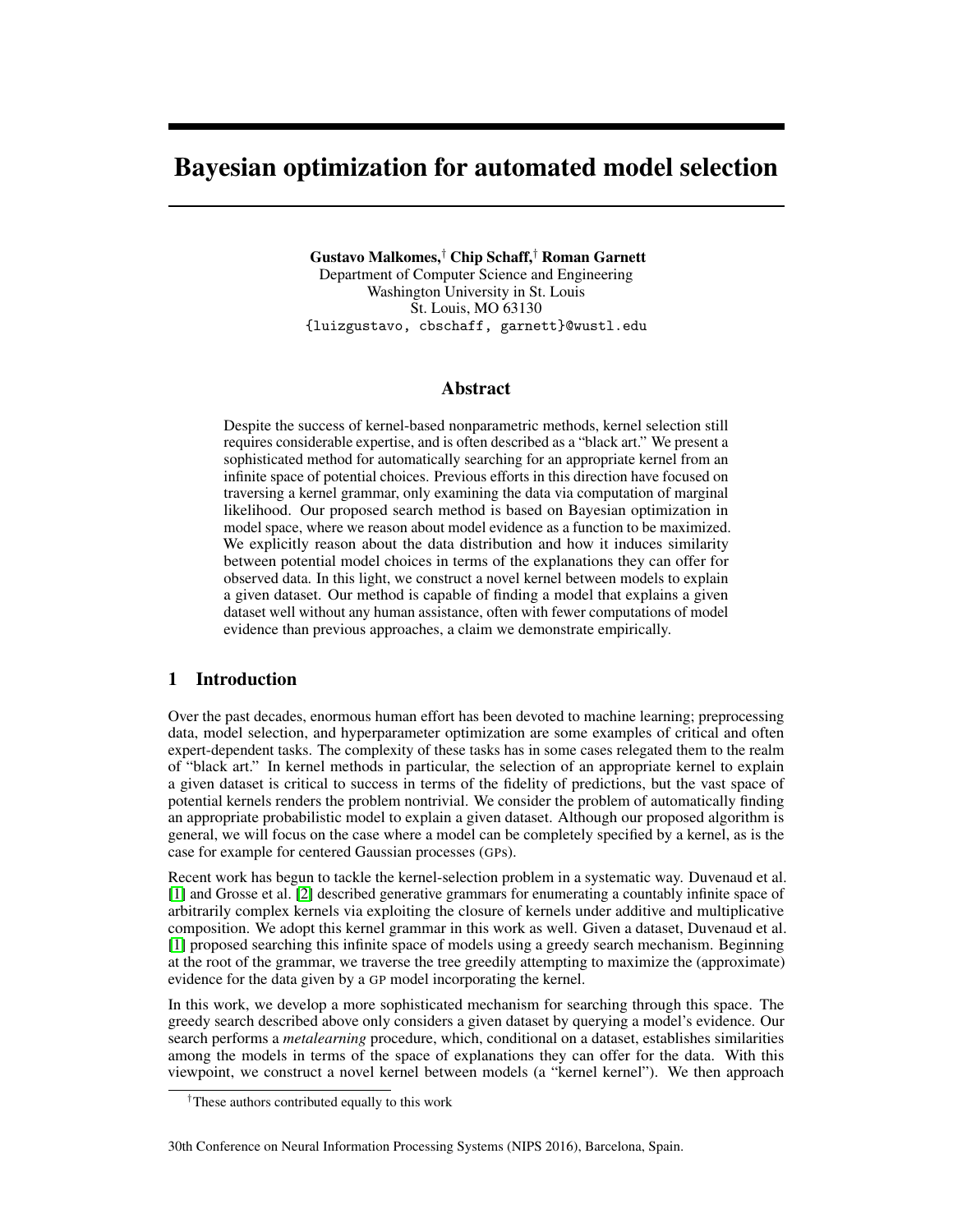# Bayesian optimization for automated model selection

Gustavo Malkomes,† Chip Schaff,† Roman Garnett Department of Computer Science and Engineering Washington University in St. Louis St. Louis, MO 63130 {luizgustavo, cbschaff, garnett}@wustl.edu

## Abstract

Despite the success of kernel-based nonparametric methods, kernel selection still requires considerable expertise, and is often described as a "black art." We present a sophisticated method for automatically searching for an appropriate kernel from an infinite space of potential choices. Previous efforts in this direction have focused on traversing a kernel grammar, only examining the data via computation of marginal likelihood. Our proposed search method is based on Bayesian optimization in model space, where we reason about model evidence as a function to be maximized. We explicitly reason about the data distribution and how it induces similarity between potential model choices in terms of the explanations they can offer for observed data. In this light, we construct a novel kernel between models to explain a given dataset. Our method is capable of finding a model that explains a given dataset well without any human assistance, often with fewer computations of model evidence than previous approaches, a claim we demonstrate empirically.

# 1 Introduction

Over the past decades, enormous human effort has been devoted to machine learning; preprocessing data, model selection, and hyperparameter optimization are some examples of critical and often expert-dependent tasks. The complexity of these tasks has in some cases relegated them to the realm of "black art." In kernel methods in particular, the selection of an appropriate kernel to explain a given dataset is critical to success in terms of the fidelity of predictions, but the vast space of potential kernels renders the problem nontrivial. We consider the problem of automatically finding an appropriate probabilistic model to explain a given dataset. Although our proposed algorithm is general, we will focus on the case where a model can be completely specified by a kernel, as is the case for example for centered Gaussian processes (GPs).

Recent work has begun to tackle the kernel-selection problem in a systematic way. Duvenaud et al. [1] and Grosse et al. [2] described generative grammars for enumerating a countably infinite space of arbitrarily complex kernels via exploiting the closure of kernels under additive and multiplicative composition. We adopt this kernel grammar in this work as well. Given a dataset, Duvenaud et al. [1] proposed searching this infinite space of models using a greedy search mechanism. Beginning at the root of the grammar, we traverse the tree greedily attempting to maximize the (approximate) evidence for the data given by a GP model incorporating the kernel.

In this work, we develop a more sophisticated mechanism for searching through this space. The greedy search described above only considers a given dataset by querying a model's evidence. Our search performs a *metalearning* procedure, which, conditional on a dataset, establishes similarities among the models in terms of the space of explanations they can offer for the data. With this viewpoint, we construct a novel kernel between models (a "kernel kernel"). We then approach

#### 30th Conference on Neural Information Processing Systems (NIPS 2016), Barcelona, Spain.

<sup>†</sup>These authors contributed equally to this work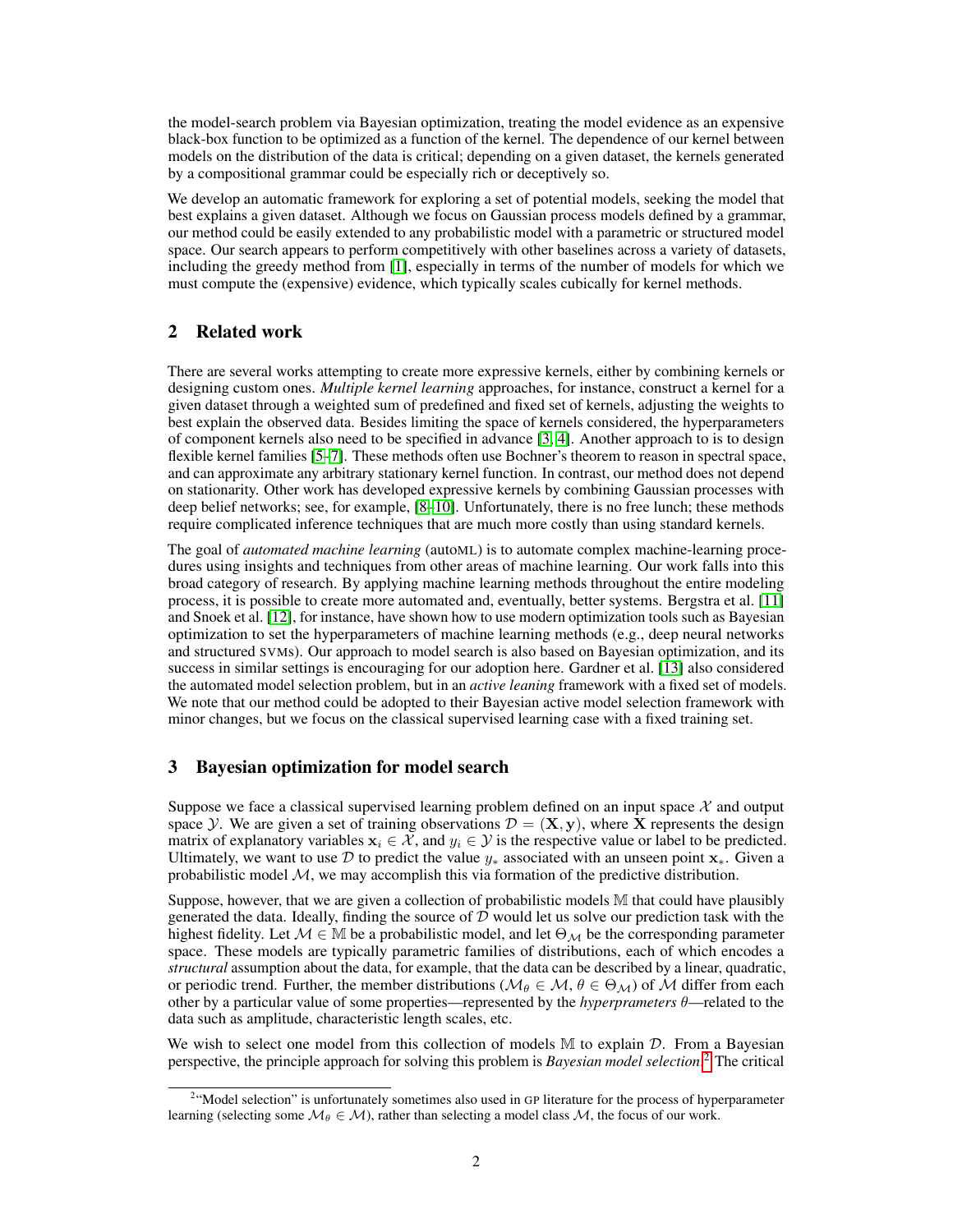the model-search problem via Bayesian optimization, treating the model evidence as an expensive black-box function to be optimized as a function of the kernel. The dependence of our kernel between models on the distribution of the data is critical; depending on a given dataset, the kernels generated by a compositional grammar could be especially rich or deceptively so.

We develop an automatic framework for exploring a set of potential models, seeking the model that best explains a given dataset. Although we focus on Gaussian process models defined by a grammar, our method could be easily extended to any probabilistic model with a parametric or structured model space. Our search appears to perform competitively with other baselines across a variety of datasets, including the greedy method from [1], especially in terms of the number of models for which we must compute the (expensive) evidence, which typically scales cubically for kernel methods.

# 2 Related work

There are several works attempting to create more expressive kernels, either by combining kernels or designing custom ones. *Multiple kernel learning* approaches, for instance, construct a kernel for a given dataset through a weighted sum of predefined and fixed set of kernels, adjusting the weights to best explain the observed data. Besides limiting the space of kernels considered, the hyperparameters of component kernels also need to be specified in advance [3, 4]. Another approach to is to design flexible kernel families [5–7]. These methods often use Bochner's theorem to reason in spectral space, and can approximate any arbitrary stationary kernel function. In contrast, our method does not depend on stationarity. Other work has developed expressive kernels by combining Gaussian processes with deep belief networks; see, for example, [8–10]. Unfortunately, there is no free lunch; these methods require complicated inference techniques that are much more costly than using standard kernels.

The goal of *automated machine learning* (autoML) is to automate complex machine-learning procedures using insights and techniques from other areas of machine learning. Our work falls into this broad category of research. By applying machine learning methods throughout the entire modeling process, it is possible to create more automated and, eventually, better systems. Bergstra et al. [11] and Snoek et al. [12], for instance, have shown how to use modern optimization tools such as Bayesian optimization to set the hyperparameters of machine learning methods (e.g., deep neural networks and structured SVMs). Our approach to model search is also based on Bayesian optimization, and its success in similar settings is encouraging for our adoption here. Gardner et al. [13] also considered the automated model selection problem, but in an *active leaning* framework with a fixed set of models. We note that our method could be adopted to their Bayesian active model selection framework with minor changes, but we focus on the classical supervised learning case with a fixed training set.

# 3 Bayesian optimization for model search

Suppose we face a classical supervised learning problem defined on an input space  $\mathcal X$  and output space Y. We are given a set of training observations  $\mathcal{D} = (\mathbf{X}, \mathbf{y})$ , where X represents the design matrix of explanatory variables  $x_i \in \mathcal{X}$ , and  $y_i \in \mathcal{Y}$  is the respective value or label to be predicted. Ultimately, we want to use D to predict the value  $y_*$  associated with an unseen point  $x_*$ . Given a probabilistic model  $M$ , we may accomplish this via formation of the predictive distribution.

Suppose, however, that we are given a collection of probabilistic models M that could have plausibly generated the data. Ideally, finding the source of  $D$  would let us solve our prediction task with the highest fidelity. Let  $\mathcal{M} \in \mathbb{M}$  be a probabilistic model, and let  $\Theta_{\mathcal{M}}$  be the corresponding parameter space. These models are typically parametric families of distributions, each of which encodes a *structural* assumption about the data, for example, that the data can be described by a linear, quadratic, or periodic trend. Further, the member distributions ( $M_\theta \in \mathcal{M}, \theta \in \Theta_{\mathcal{M}}$ ) of  $\mathcal M$  differ from each other by a particular value of some properties—represented by the *hyperprameters* θ—related to the data such as amplitude, characteristic length scales, etc.

We wish to select one model from this collection of models  $M$  to explain  $D$ . From a Bayesian perspective, the principle approach for solving this problem is *Bayesian model selection*. 2 The critical

<sup>&</sup>lt;sup>2</sup> Model selection" is unfortunately sometimes also used in GP literature for the process of hyperparameter learning (selecting some  $\mathcal{M}_{\theta} \in \mathcal{M}$ ), rather than selecting a model class  $\mathcal{M}$ , the focus of our work.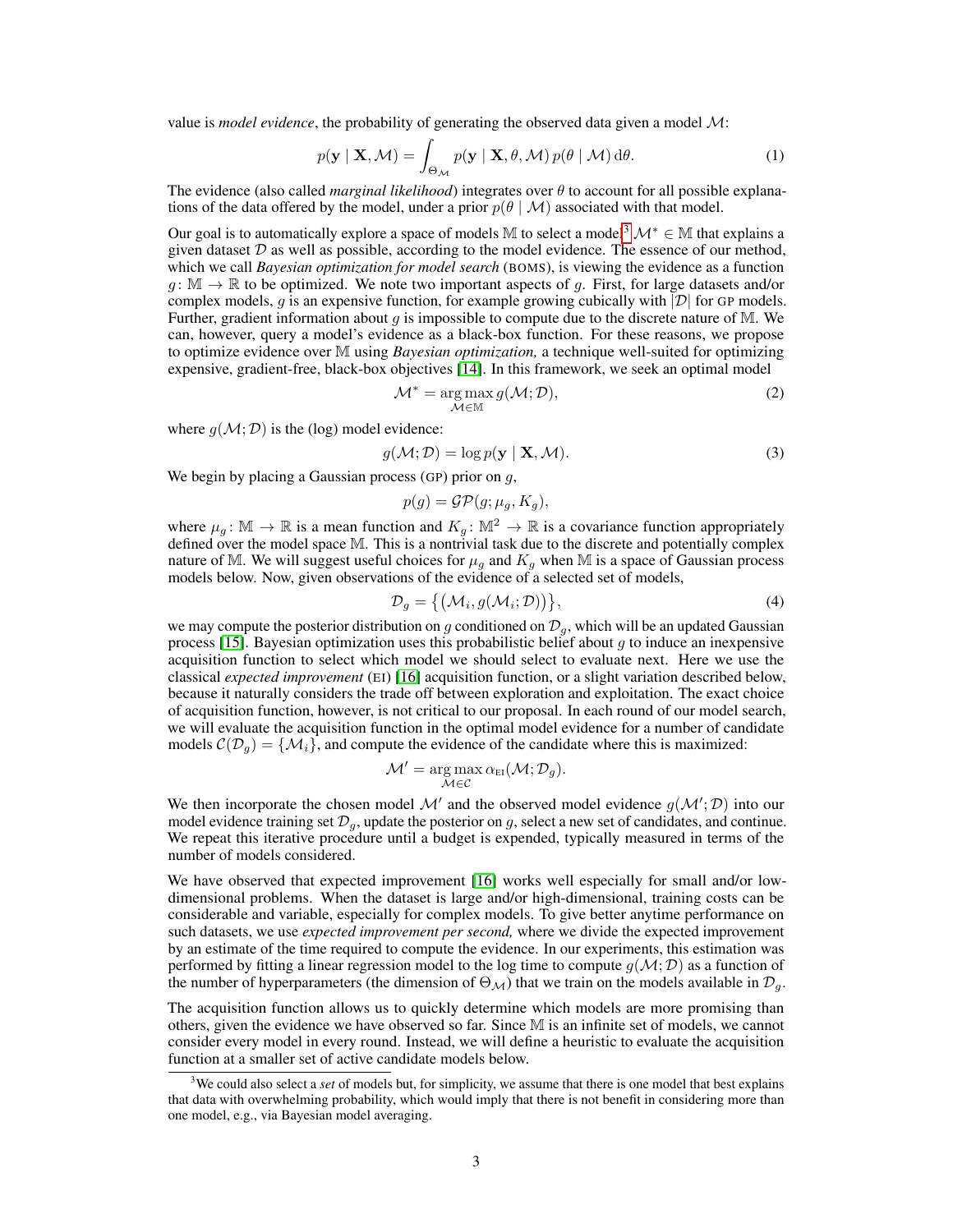value is *model evidence*, the probability of generating the observed data given a model M:

$$
p(\mathbf{y} \mid \mathbf{X}, \mathcal{M}) = \int_{\Theta_{\mathcal{M}}} p(\mathbf{y} \mid \mathbf{X}, \theta, \mathcal{M}) p(\theta \mid \mathcal{M}) d\theta.
$$
 (1)

The evidence (also called *marginal likelihood*) integrates over  $\theta$  to account for all possible explanations of the data offered by the model, under a prior  $p(\theta \mid M)$  associated with that model.

Our goal is to automatically explore a space of models M to select a model<sup>3</sup>  $\mathcal{M}^* \in \mathbb{M}$  that explains a given dataset  $D$  as well as possible, according to the model evidence. The essence of our method, which we call *Bayesian optimization for model search* (BOMS), is viewing the evidence as a function  $g: \mathbb{M} \to \mathbb{R}$  to be optimized. We note two important aspects of g. First, for large datasets and/or complex models, q is an expensive function, for example growing cubically with  $|\mathcal{D}|$  for GP models. Further, gradient information about  $g$  is impossible to compute due to the discrete nature of M. We can, however, query a model's evidence as a black-box function. For these reasons, we propose to optimize evidence over M using *Bayesian optimization,* a technique well-suited for optimizing expensive, gradient-free, black-box objectives [14]. In this framework, we seek an optimal model

$$
\mathcal{M}^* = \underset{\mathcal{M} \in \mathbb{M}}{\arg \max} \, g(\mathcal{M}; \mathcal{D}),\tag{2}
$$

where  $g(\mathcal{M}; \mathcal{D})$  is the (log) model evidence:

$$
g(\mathcal{M}; \mathcal{D}) = \log p(\mathbf{y} \mid \mathbf{X}, \mathcal{M}).
$$
\n(3)

We begin by placing a Gaussian process (GP) prior on  $g$ ,

$$
p(g) = \mathcal{GP}(g; \mu_g, K_g),
$$

where  $\mu_g \colon \mathbb{M} \to \mathbb{R}$  is a mean function and  $K_g \colon \mathbb{M}^2 \to \mathbb{R}$  is a covariance function appropriately defined over the model space M. This is a nontrivial task due to the discrete and potentially complex nature of M. We will suggest useful choices for  $\mu_q$  and  $K_q$  when M is a space of Gaussian process models below. Now, given observations of the evidence of a selected set of models,

$$
\mathcal{D}_g = \{ (\mathcal{M}_i, g(\mathcal{M}_i; \mathcal{D})) \},\tag{4}
$$

we may compute the posterior distribution on g conditioned on  $\mathcal{D}_q$ , which will be an updated Gaussian process [15]. Bayesian optimization uses this probabilistic belief about q to induce an inexpensive acquisition function to select which model we should select to evaluate next. Here we use the classical *expected improvement* (EI) [16] acquisition function, or a slight variation described below, because it naturally considers the trade off between exploration and exploitation. The exact choice of acquisition function, however, is not critical to our proposal. In each round of our model search, we will evaluate the acquisition function in the optimal model evidence for a number of candidate models  $\mathcal{C}(\mathcal{D}_g) = \{\mathcal{M}_i\}$ , and compute the evidence of the candidate where this is maximized:

$$
\mathcal{M}' = \underset{\mathcal{M} \in \mathcal{C}}{\arg \max} \, \alpha_{\text{EI}}(\mathcal{M}; \mathcal{D}_g).
$$

We then incorporate the chosen model M' and the observed model evidence  $g(M; \mathcal{D})$  into our model evidence training set  $\mathcal{D}_q$ , update the posterior on g, select a new set of candidates, and continue. We repeat this iterative procedure until a budget is expended, typically measured in terms of the number of models considered.

We have observed that expected improvement [16] works well especially for small and/or lowdimensional problems. When the dataset is large and/or high-dimensional, training costs can be considerable and variable, especially for complex models. To give better anytime performance on such datasets, we use *expected improvement per second,* where we divide the expected improvement by an estimate of the time required to compute the evidence. In our experiments, this estimation was performed by fitting a linear regression model to the log time to compute  $g(\mathcal{M}; \mathcal{D})$  as a function of the number of hyperparameters (the dimension of  $\Theta_{\mathcal{M}}$ ) that we train on the models available in  $\mathcal{D}_g$ .

The acquisition function allows us to quickly determine which models are more promising than others, given the evidence we have observed so far. Since M is an infinite set of models, we cannot consider every model in every round. Instead, we will define a heuristic to evaluate the acquisition function at a smaller set of active candidate models below.

<sup>3</sup>We could also select a *set* of models but, for simplicity, we assume that there is one model that best explains that data with overwhelming probability, which would imply that there is not benefit in considering more than one model, e.g., via Bayesian model averaging.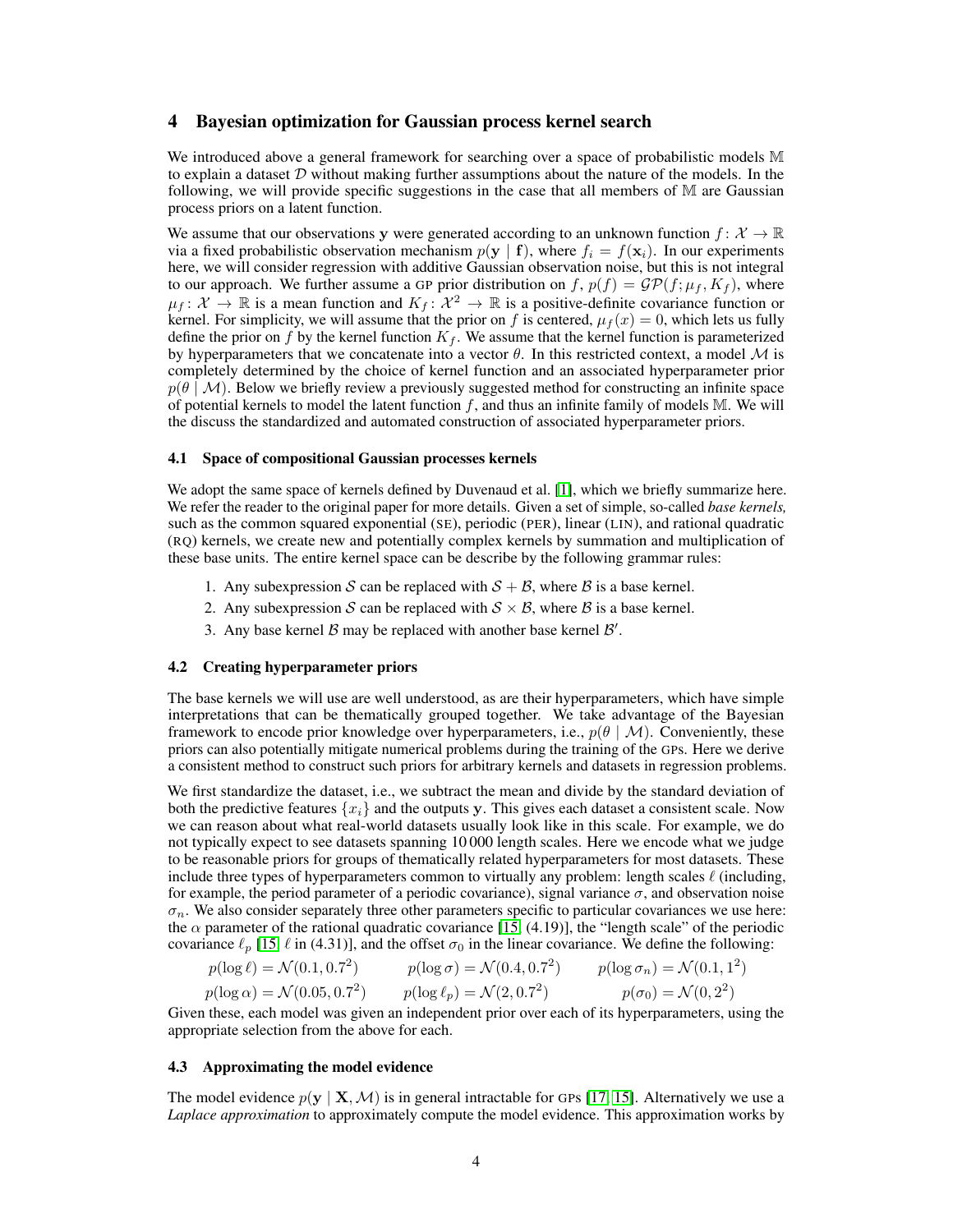## 4 Bayesian optimization for Gaussian process kernel search

We introduced above a general framework for searching over a space of probabilistic models M to explain a dataset  $D$  without making further assumptions about the nature of the models. In the following, we will provide specific suggestions in the case that all members of M are Gaussian process priors on a latent function.

We assume that our observations y were generated according to an unknown function  $f: \mathcal{X} \to \mathbb{R}$ via a fixed probabilistic observation mechanism  $p(y | f)$ , where  $f_i = f(x_i)$ . In our experiments here, we will consider regression with additive Gaussian observation noise, but this is not integral to our approach. We further assume a GP prior distribution on f,  $p(f) = \mathcal{GP}(f; \mu_f, K_f)$ , where  $\mu_f: \mathcal{X} \to \mathbb{R}$  is a mean function and  $K_f: \mathcal{X}^2 \to \mathbb{R}$  is a positive-definite covariance function or kernel. For simplicity, we will assume that the prior on f is centered,  $\mu_f(x) = 0$ , which lets us fully define the prior on f by the kernel function  $K_f$ . We assume that the kernel function is parameterized by hyperparameters that we concatenate into a vector  $\theta$ . In this restricted context, a model  $\mathcal M$  is completely determined by the choice of kernel function and an associated hyperparameter prior  $p(\theta \mid M)$ . Below we briefly review a previously suggested method for constructing an infinite space of potential kernels to model the latent function  $f$ , and thus an infinite family of models M. We will the discuss the standardized and automated construction of associated hyperparameter priors.

#### 4.1 Space of compositional Gaussian processes kernels

We adopt the same space of kernels defined by Duvenaud et al. [1], which we briefly summarize here. We refer the reader to the original paper for more details. Given a set of simple, so-called *base kernels,* such as the common squared exponential (SE), periodic (PER), linear (LIN), and rational quadratic (RQ) kernels, we create new and potentially complex kernels by summation and multiplication of these base units. The entire kernel space can be describe by the following grammar rules:

- 1. Any subexpression S can be replaced with  $S + B$ , where B is a base kernel.
- 2. Any subexpression S can be replaced with  $S \times B$ , where B is a base kernel.
- 3. Any base kernel  $\beta$  may be replaced with another base kernel  $\beta'$ .

#### 4.2 Creating hyperparameter priors

The base kernels we will use are well understood, as are their hyperparameters, which have simple interpretations that can be thematically grouped together. We take advantage of the Bayesian framework to encode prior knowledge over hyperparameters, i.e.,  $p(\theta | \mathcal{M})$ . Conveniently, these priors can also potentially mitigate numerical problems during the training of the GPs. Here we derive a consistent method to construct such priors for arbitrary kernels and datasets in regression problems.

We first standardize the dataset, i.e., we subtract the mean and divide by the standard deviation of both the predictive features  $\{x_i\}$  and the outputs y. This gives each dataset a consistent scale. Now we can reason about what real-world datasets usually look like in this scale. For example, we do not typically expect to see datasets spanning 10 000 length scales. Here we encode what we judge to be reasonable priors for groups of thematically related hyperparameters for most datasets. These include three types of hyperparameters common to virtually any problem: length scales  $\ell$  (including, for example, the period parameter of a periodic covariance), signal variance  $\sigma$ , and observation noise  $\sigma_n$ . We also consider separately three other parameters specific to particular covariances we use here: the  $\alpha$  parameter of the rational quadratic covariance [15, (4.19)], the "length scale" of the periodic covariance  $\ell_p$  [15,  $\ell$  in (4.31)], and the offset  $\sigma_0$  in the linear covariance. We define the following:

$$
p(\log \ell) = \mathcal{N}(0.1, 0.7^2) \qquad p(\log \sigma) = \mathcal{N}(0.4, 0.7^2) \qquad p(\log \sigma_n) = \mathcal{N}(0.1, 1^2)
$$
  

$$
p(\log \alpha) = \mathcal{N}(0.05, 0.7^2) \qquad p(\log \ell_p) = \mathcal{N}(2, 0.7^2) \qquad p(\sigma_0) = \mathcal{N}(0, 2^2)
$$

Given these, each model was given an independent prior over each of its hyperparameters, using the appropriate selection from the above for each.

## 4.3 Approximating the model evidence

The model evidence  $p(y | X, M)$  is in general intractable for GPs [17, 15]. Alternatively we use a *Laplace approximation* to approximately compute the model evidence. This approximation works by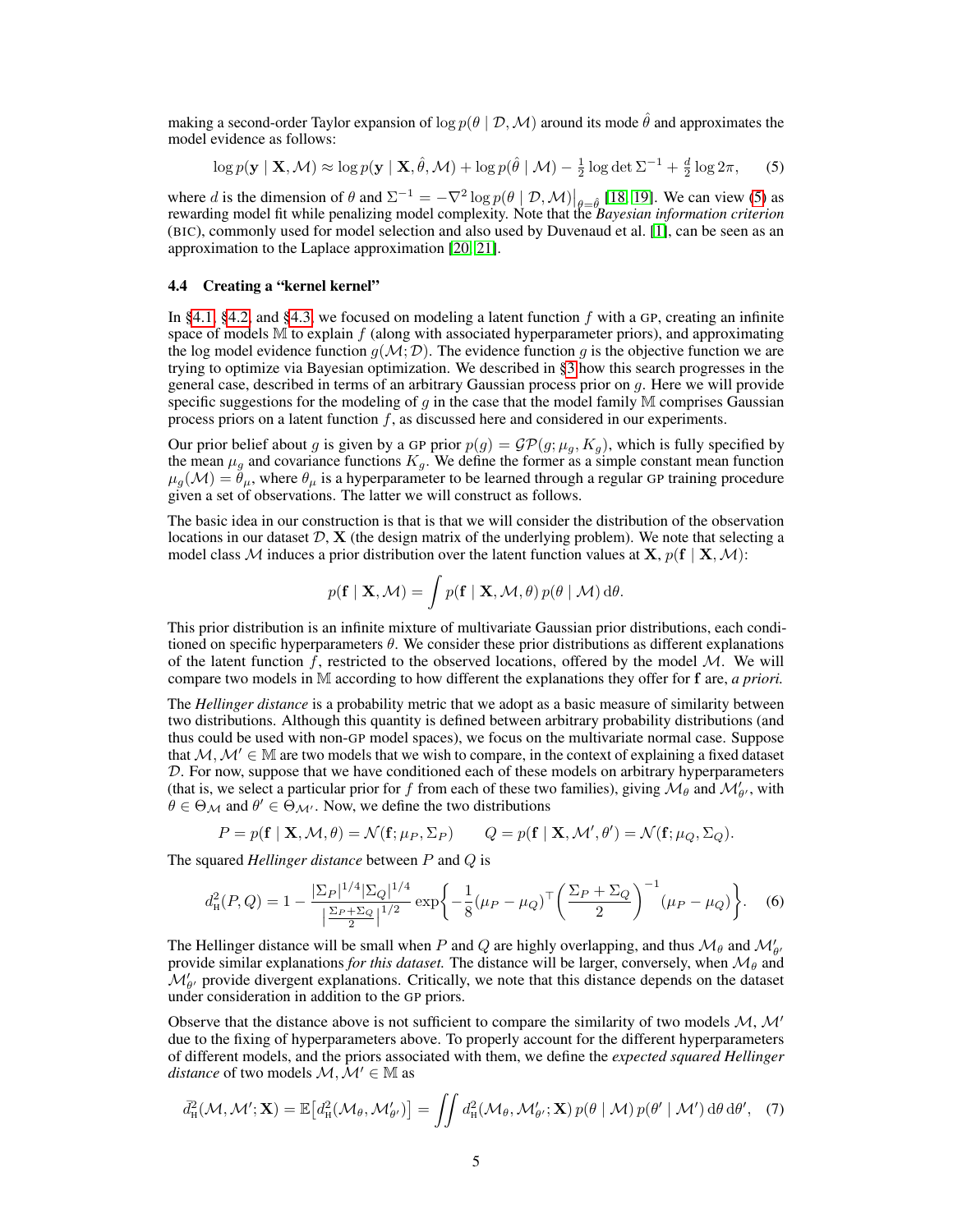making a second-order Taylor expansion of  $\log p(\theta | \mathcal{D}, \mathcal{M})$  around its mode  $\hat{\theta}$  and approximates the model evidence as follows:

$$
\log p(\mathbf{y} \mid \mathbf{X}, \mathcal{M}) \approx \log p(\mathbf{y} \mid \mathbf{X}, \hat{\theta}, \mathcal{M}) + \log p(\hat{\theta} \mid \mathcal{M}) - \frac{1}{2} \log \det \Sigma^{-1} + \frac{d}{2} \log 2\pi, \tag{5}
$$

where d is the dimension of  $\theta$  and  $\Sigma^{-1} = -\nabla^2 \log p(\theta | \mathcal{D}, \mathcal{M})|_{\theta=\hat{\theta}}$  [18, 19]. We can view (5) as rewarding model fit while penalizing model complexity. Note that the *Bayesian information criterion* (BIC), commonly used for model selection and also used by Duvenaud et al. [1], can be seen as an approximation to the Laplace approximation [20, 21].

### 4.4 Creating a "kernel kernel"

In §4.1, §4.2, and §4.3, we focused on modeling a latent function  $f$  with a GP, creating an infinite space of models  $M$  to explain  $f$  (along with associated hyperparameter priors), and approximating the log model evidence function  $g(\mathcal{M}; \mathcal{D})$ . The evidence function g is the objective function we are trying to optimize via Bayesian optimization. We described in §3 how this search progresses in the general case, described in terms of an arbitrary Gaussian process prior on g. Here we will provide specific suggestions for the modeling of q in the case that the model family  $M$  comprises Gaussian process priors on a latent function  $f$ , as discussed here and considered in our experiments.

Our prior belief about g is given by a GP prior  $p(g) = \mathcal{GP}(g; \mu_q, K_q)$ , which is fully specified by the mean  $\mu_q$  and covariance functions  $K_q$ . We define the former as a simple constant mean function  $\mu_q(\mathcal{M}) = \dot{\theta}_\mu$ , where  $\theta_\mu$  is a hyperparameter to be learned through a regular GP training procedure given a set of observations. The latter we will construct as follows.

The basic idea in our construction is that is that we will consider the distribution of the observation locations in our dataset  $D$ ,  $X$  (the design matrix of the underlying problem). We note that selecting a model class M induces a prior distribution over the latent function values at **X**,  $p(f | X, M)$ :

$$
p(\mathbf{f} \mid \mathbf{X}, \mathcal{M}) = \int p(\mathbf{f} \mid \mathbf{X}, \mathcal{M}, \theta) p(\theta \mid \mathcal{M}) \, d\theta.
$$

This prior distribution is an infinite mixture of multivariate Gaussian prior distributions, each conditioned on specific hyperparameters  $\theta$ . We consider these prior distributions as different explanations of the latent function f, restricted to the observed locations, offered by the model  $M$ . We will compare two models in M according to how different the explanations they offer for f are, *a priori.*

The *Hellinger distance* is a probability metric that we adopt as a basic measure of similarity between two distributions. Although this quantity is defined between arbitrary probability distributions (and thus could be used with non-GP model spaces), we focus on the multivariate normal case. Suppose that  $M, M' \in \mathbb{M}$  are two models that we wish to compare, in the context of explaining a fixed dataset  $D$ . For now, suppose that we have conditioned each of these models on arbitrary hyperparameters (that is, we select a particular prior for f from each of these two families), giving  $\mathcal{M}_{\theta}$  and  $\mathcal{M}'_{\theta'}$ , with  $\theta \in \Theta_{\mathcal{M}}$  and  $\theta' \in \Theta_{\mathcal{M}'}$ . Now, we define the two distributions

$$
P = p(\mathbf{f} \mid \mathbf{X}, \mathcal{M}, \theta) = \mathcal{N}(\mathbf{f}; \mu_P, \Sigma_P) \qquad Q = p(\mathbf{f} \mid \mathbf{X}, \mathcal{M}', \theta') = \mathcal{N}(\mathbf{f}; \mu_Q, \Sigma_Q).
$$

The squared *Hellinger distance* between P and Q is

$$
d_{\rm H}^{2}(P,Q) = 1 - \frac{|\Sigma_{P}|^{1/4}|\Sigma_{Q}|^{1/4}}{\left|\frac{\Sigma_{P} + \Sigma_{Q}}{2}\right|^{1/2}} \exp\left\{-\frac{1}{8}(\mu_{P} - \mu_{Q})^{\top} \left(\frac{\Sigma_{P} + \Sigma_{Q}}{2}\right)^{-1} (\mu_{P} - \mu_{Q})\right\}.
$$
 (6)

The Hellinger distance will be small when P and Q are highly overlapping, and thus  $\mathcal{M}_{\theta}$  and  $\mathcal{M}'_{\theta'}$ provide similar explanations *for this dataset*. The distance will be larger, conversely, when  $\mathcal{M}_{\theta}$  and  $\mathcal{M}_{\theta'}'$  provide divergent explanations. Critically, we note that this distance depends on the dataset under consideration in addition to the GP priors.

Observe that the distance above is not sufficient to compare the similarity of two models  $M$ ,  $M'$ due to the fixing of hyperparameters above. To properly account for the different hyperparameters of different models, and the priors associated with them, we define the *expected squared Hellinger distance* of two models  $M, M' \in \mathbb{M}$  as

$$
\bar{d}_{\rm H}^2(\mathcal{M},\mathcal{M}';\mathbf{X})=\mathbb{E}\big[d_{\rm H}^2(\mathcal{M}_{\theta},\mathcal{M}'_{\theta'})\big]=\iint d_{\rm H}^2(\mathcal{M}_{\theta},\mathcal{M}'_{\theta'};\mathbf{X})\,p(\theta\mid \mathcal{M})\,p(\theta'\mid \mathcal{M}')\,\mathrm{d}\theta\,\mathrm{d}\theta',\quad(7)
$$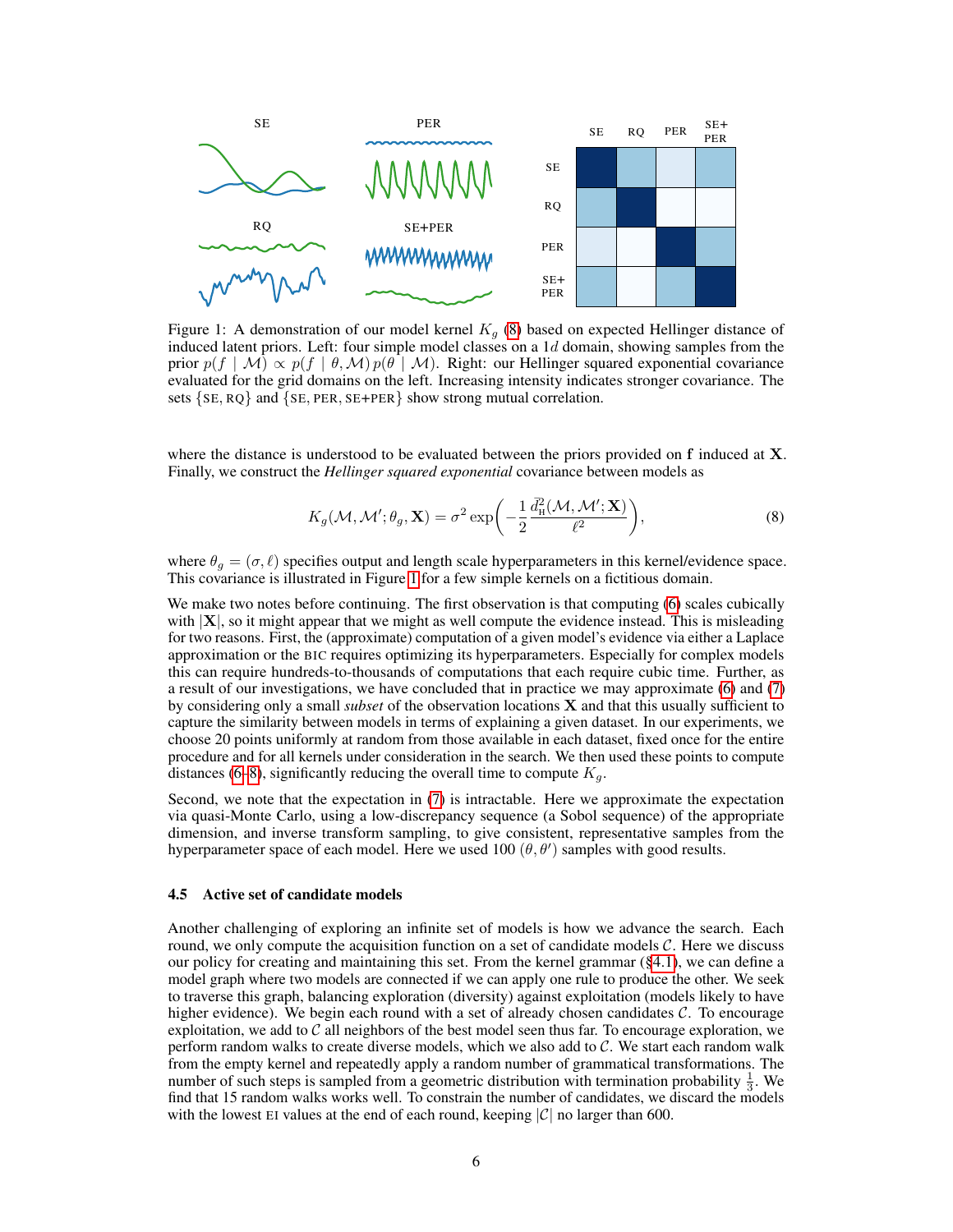

Figure 1: A demonstration of our model kernel  $K_q$  (8) based on expected Hellinger distance of induced latent priors. Left: four simple model classes on a  $1d$  domain, showing samples from the prior  $p(f | \mathcal{M}) \propto p(f | \theta, \mathcal{M}) p(\theta | \mathcal{M})$ . Right: our Hellinger squared exponential covariance evaluated for the grid domains on the left. Increasing intensity indicates stronger covariance. The sets  $\{SE, RQ\}$  and  $\{SE, PER, SE+PER\}$  show strong mutual correlation.

where the distance is understood to be evaluated between the priors provided on f induced at X. Finally, we construct the *Hellinger squared exponential* covariance between models as

$$
K_g(\mathcal{M}, \mathcal{M}'; \theta_g, \mathbf{X}) = \sigma^2 \exp\left(-\frac{1}{2} \frac{\bar{d}_{\rm H}^2(\mathcal{M}, \mathcal{M}'; \mathbf{X})}{\ell^2}\right),\tag{8}
$$

where  $\theta_g = (\sigma, \ell)$  specifies output and length scale hyperparameters in this kernel/evidence space. This covariance is illustrated in Figure 1 for a few simple kernels on a fictitious domain.

We make two notes before continuing. The first observation is that computing (6) scales cubically with  $|X|$ , so it might appear that we might as well compute the evidence instead. This is misleading for two reasons. First, the (approximate) computation of a given model's evidence via either a Laplace approximation or the BIC requires optimizing its hyperparameters. Especially for complex models this can require hundreds-to-thousands of computations that each require cubic time. Further, as a result of our investigations, we have concluded that in practice we may approximate (6) and (7) by considering only a small *subset* of the observation locations X and that this usually sufficient to capture the similarity between models in terms of explaining a given dataset. In our experiments, we choose 20 points uniformly at random from those available in each dataset, fixed once for the entire procedure and for all kernels under consideration in the search. We then used these points to compute distances (6–8), significantly reducing the overall time to compute  $K_q$ .

Second, we note that the expectation in (7) is intractable. Here we approximate the expectation via quasi-Monte Carlo, using a low-discrepancy sequence (a Sobol sequence) of the appropriate dimension, and inverse transform sampling, to give consistent, representative samples from the hyperparameter space of each model. Here we used 100  $(\theta, \theta')$  samples with good results.

#### 4.5 Active set of candidate models

Another challenging of exploring an infinite set of models is how we advance the search. Each round, we only compute the acquisition function on a set of candidate models  $C$ . Here we discuss our policy for creating and maintaining this set. From the kernel grammar (§4.1), we can define a model graph where two models are connected if we can apply one rule to produce the other. We seek to traverse this graph, balancing exploration (diversity) against exploitation (models likely to have higher evidence). We begin each round with a set of already chosen candidates  $\mathcal{C}$ . To encourage exploitation, we add to  $\mathcal C$  all neighbors of the best model seen thus far. To encourage exploration, we perform random walks to create diverse models, which we also add to  $C$ . We start each random walk from the empty kernel and repeatedly apply a random number of grammatical transformations. The number of such steps is sampled from a geometric distribution with termination probability  $\frac{1}{3}$ . We find that 15 random walks works well. To constrain the number of candidates, we discard the models with the lowest EI values at the end of each round, keeping  $|\mathcal{C}|$  no larger than 600.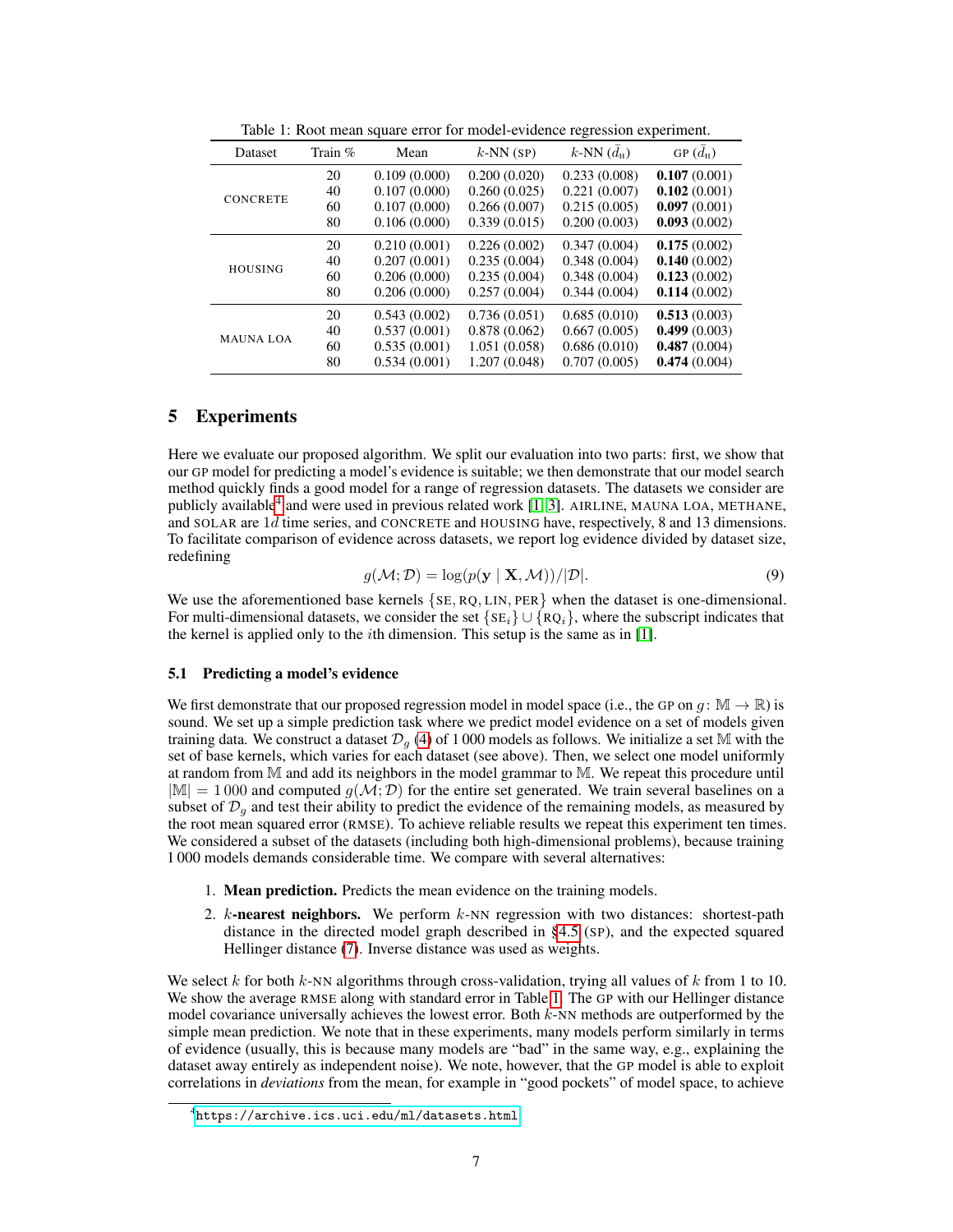| <b>Dataset</b>   | Train $%$ | Mean         | $k$ -NN (SP)  | k-NN $(\bar{d}_{\rm H})$ | GP $(d_H)$   |
|------------------|-----------|--------------|---------------|--------------------------|--------------|
| <b>CONCRETE</b>  | 20        | 0.109(0.000) | 0.200(0.020)  | 0.233(0.008)             | 0.107(0.001) |
|                  | 40        | 0.107(0.000) | 0.260(0.025)  | 0.221(0.007)             | 0.102(0.001) |
|                  | 60        | 0.107(0.000) | 0.266(0.007)  | 0.215(0.005)             | 0.097(0.001) |
|                  | 80        | 0.106(0.000) | 0.339(0.015)  | 0.200(0.003)             | 0.093(0.002) |
| <b>HOUSING</b>   | 20        | 0.210(0.001) | 0.226(0.002)  | 0.347(0.004)             | 0.175(0.002) |
|                  | 40        | 0.207(0.001) | 0.235(0.004)  | 0.348(0.004)             | 0.140(0.002) |
|                  | 60        | 0.206(0.000) | 0.235(0.004)  | 0.348(0.004)             | 0.123(0.002) |
|                  | 80        | 0.206(0.000) | 0.257(0.004)  | 0.344(0.004)             | 0.114(0.002) |
| <b>MAUNA LOA</b> | 20        | 0.543(0.002) | 0.736(0.051)  | 0.685(0.010)             | 0.513(0.003) |
|                  | 40        | 0.537(0.001) | 0.878(0.062)  | 0.667(0.005)             | 0.499(0.003) |
|                  | 60        | 0.535(0.001) | 1.051(0.058)  | 0.686(0.010)             | 0.487(0.004) |
|                  | 80        | 0.534(0.001) | 1.207 (0.048) | 0.707(0.005)             | 0.474(0.004) |

Table 1: Root mean square error for model-evidence regression experiment.

# 5 Experiments

Here we evaluate our proposed algorithm. We split our evaluation into two parts: first, we show that our GP model for predicting a model's evidence is suitable; we then demonstrate that our model search method quickly finds a good model for a range of regression datasets. The datasets we consider are publicly available<sup>4</sup> and were used in previous related work [1, 3]. AIRLINE, MAUNA LOA, METHANE, and SOLAR are 1d time series, and CONCRETE and HOUSING have, respectively, 8 and 13 dimensions. To facilitate comparison of evidence across datasets, we report log evidence divided by dataset size, redefining

$$
g(\mathcal{M}; \mathcal{D}) = \log(p(\mathbf{y} \mid \mathbf{X}, \mathcal{M})) / |\mathcal{D}|.
$$
 (9)

We use the aforementioned base kernels  $\{SE, RQ, LIN, PER\}$  when the dataset is one-dimensional. For multi-dimensional datasets, we consider the set  $\{SE_i\} \cup \{RQ_i\}$ , where the subscript indicates that the kernel is applied only to the ith dimension. This setup is the same as in [1].

## 5.1 Predicting a model's evidence

We first demonstrate that our proposed regression model in model space (i.e., the GP on  $q : \mathbb{M} \to \mathbb{R}$ ) is sound. We set up a simple prediction task where we predict model evidence on a set of models given training data. We construct a dataset  $\mathcal{D}_q$  (4) of 1 000 models as follows. We initialize a set M with the set of base kernels, which varies for each dataset (see above). Then, we select one model uniformly at random from M and add its neighbors in the model grammar to M. We repeat this procedure until  $|\mathbb{M}| = 1000$  and computed  $g(\mathcal{M}; \mathcal{D})$  for the entire set generated. We train several baselines on a subset of  $\mathcal{D}_q$  and test their ability to predict the evidence of the remaining models, as measured by the root mean squared error (RMSE). To achieve reliable results we repeat this experiment ten times. We considered a subset of the datasets (including both high-dimensional problems), because training 1 000 models demands considerable time. We compare with several alternatives:

- 1. Mean prediction. Predicts the mean evidence on the training models.
- 2.  $k$ -nearest neighbors. We perform  $k$ -NN regression with two distances: shortest-path distance in the directed model graph described in §4.5 (SP), and the expected squared Hellinger distance (7). Inverse distance was used as weights.

We select k for both k-NN algorithms through cross-validation, trying all values of k from 1 to 10. We show the average RMSE along with standard error in Table 1. The GP with our Hellinger distance model covariance universally achieves the lowest error. Both  $k$ -NN methods are outperformed by the simple mean prediction. We note that in these experiments, many models perform similarly in terms of evidence (usually, this is because many models are "bad" in the same way, e.g., explaining the dataset away entirely as independent noise). We note, however, that the GP model is able to exploit correlations in *deviations* from the mean, for example in "good pockets" of model space, to achieve

<sup>4</sup> <https://archive.ics.uci.edu/ml/datasets.html>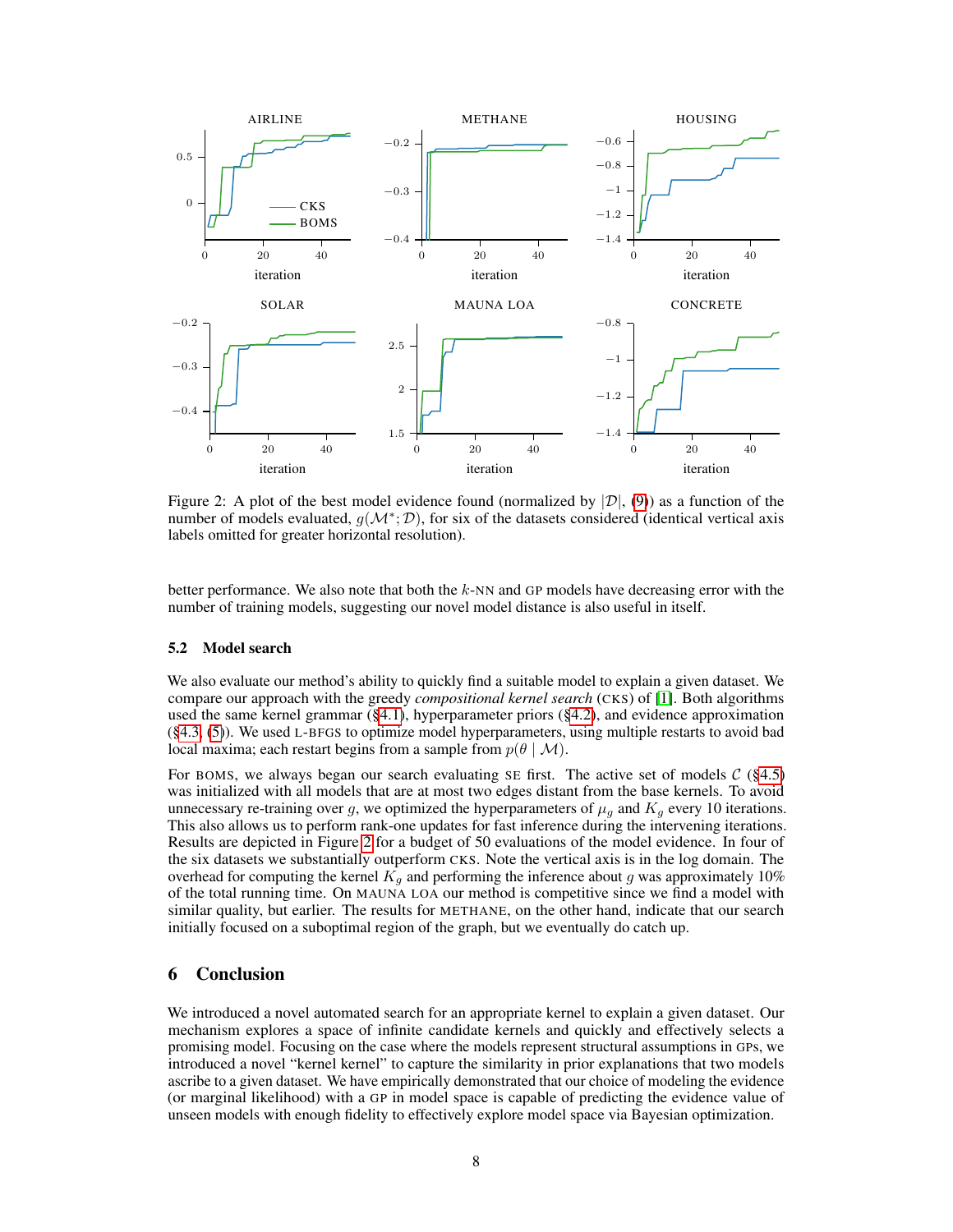

Figure 2: A plot of the best model evidence found (normalized by  $|\mathcal{D}|$ , (9)) as a function of the number of models evaluated,  $g(\mathcal{M}^*; \mathcal{D})$ , for six of the datasets considered (identical vertical axis labels omitted for greater horizontal resolution).

better performance. We also note that both the  $k$ -NN and GP models have decreasing error with the number of training models, suggesting our novel model distance is also useful in itself.

## 5.2 Model search

We also evaluate our method's ability to quickly find a suitable model to explain a given dataset. We compare our approach with the greedy *compositional kernel search* (CKS) of [1]. Both algorithms used the same kernel grammar (§4.1), hyperparameter priors (§4.2), and evidence approximation (§4.3, (5)). We used L-BFGS to optimize model hyperparameters, using multiple restarts to avoid bad local maxima; each restart begins from a sample from  $p(\theta | \mathcal{M})$ .

For BOMS, we always began our search evaluating SE first. The active set of models  $C$  (§4.5) was initialized with all models that are at most two edges distant from the base kernels. To avoid unnecessary re-training over g, we optimized the hyperparameters of  $\mu_q$  and  $K_q$  every 10 iterations. This also allows us to perform rank-one updates for fast inference during the intervening iterations. Results are depicted in Figure 2 for a budget of 50 evaluations of the model evidence. In four of the six datasets we substantially outperform CKS. Note the vertical axis is in the log domain. The overhead for computing the kernel  $K_q$  and performing the inference about g was approximately 10% of the total running time. On MAUNA LOA our method is competitive since we find a model with similar quality, but earlier. The results for METHANE, on the other hand, indicate that our search initially focused on a suboptimal region of the graph, but we eventually do catch up.

# 6 Conclusion

We introduced a novel automated search for an appropriate kernel to explain a given dataset. Our mechanism explores a space of infinite candidate kernels and quickly and effectively selects a promising model. Focusing on the case where the models represent structural assumptions in GPs, we introduced a novel "kernel kernel" to capture the similarity in prior explanations that two models ascribe to a given dataset. We have empirically demonstrated that our choice of modeling the evidence (or marginal likelihood) with a GP in model space is capable of predicting the evidence value of unseen models with enough fidelity to effectively explore model space via Bayesian optimization.